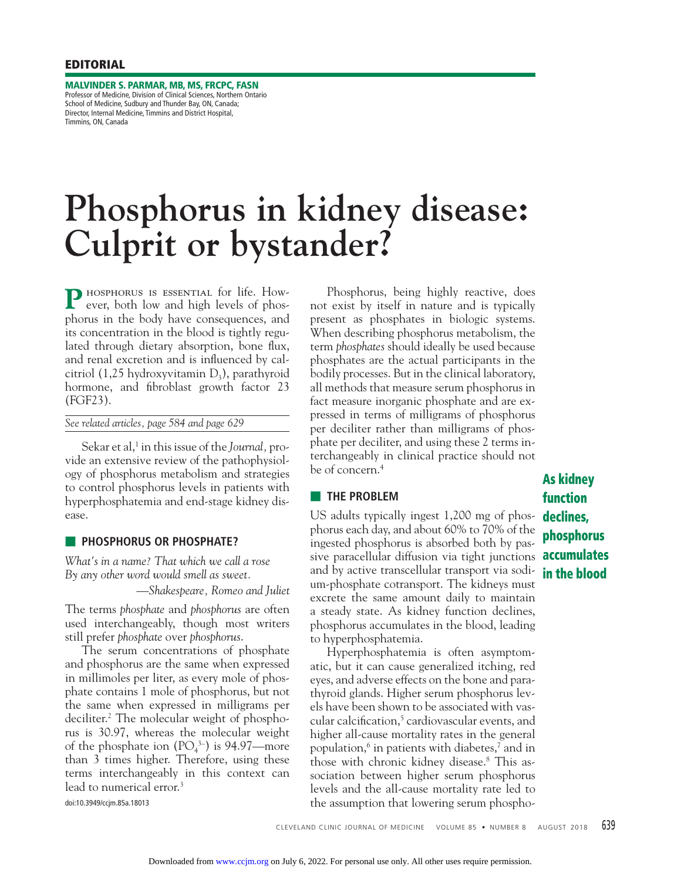**MALVINDER S. PARMAR, MB, MS, FRCPC, FASN**  Professor of Medicine, Division of Clinical Sciences, Northern Ontario School of Medicine, Sudbury and Thunder Bay, ON, Canada; Director, Internal Medicine, Timmins and District Hospital, Timmins, ON, Canada

# **Phosphorus in kidney disease: Culprit or bystander?**

P HOSPHORUS IS ESSENTIAL for life. However, both low and high levels of phosphorus in the body have consequences, and its concentration in the blood is tightly regulated through dietary absorption, bone flux, and renal excretion and is influenced by calcitriol (1,25 hydroxyvitamin  $D<sub>3</sub>$ ), parathyroid hormone, and fibroblast growth factor 23 (FGF23).

*See related articles, page 584 and page 629*

Sekar et al,<sup>1</sup> in this issue of the *Journal*, provide an extensive review of the pathophysiology of phosphorus metabolism and strategies to control phosphorus levels in patients with hyperphosphatemia and end-stage kidney disease.

## ■ **PHOSPHORUS OR PHOSPHATE?**

*What's in a name? That which we call a rose By any other word would smell as sweet.* 

*—Shakespeare, Romeo and Juliet*

The terms *phosphate* and *phosphorus* are often used interchangeably, though most writers still prefer *phosphate* over *phosphorus*.

 The serum concentrations of phosphate and phosphorus are the same when expressed in millimoles per liter, as every mole of phosphate contains 1 mole of phosphorus, but not the same when expressed in milligrams per deciliter.2 The molecular weight of phosphorus is 30.97, whereas the molecular weight of the phosphate ion  $(PO<sub>4</sub><sup>3-</sup>)$  is 94.97—more than 3 times higher. Therefore, using these terms interchangeably in this context can lead to numerical error.<sup>3</sup>

doi:10.3949/ccjm.85a.18013

 Phosphorus, being highly reactive, does not exist by itself in nature and is typically present as phosphates in biologic systems. When describing phosphorus metabolism, the term *phosphates* should ideally be used because phosphates are the actual participants in the bodily processes. But in the clinical laboratory, all methods that measure serum phosphorus in fact measure inorganic phosphate and are expressed in terms of milligrams of phosphorus per deciliter rather than milligrams of phosphate per deciliter, and using these 2 terms interchangeably in clinical practice should not be of concern.4

## ■ **THE PROBLEM**

US adults typically ingest 1,200 mg of phosphorus each day, and about 60% to 70% of the ingested phosphorus is absorbed both by passive paracellular diffusion via tight junctions and by active transcellular transport via sodium-phosphate cotransport. The kidneys must excrete the same amount daily to maintain a steady state. As kidney function declines, phosphorus accumulates in the blood, leading to hyperphosphatemia.

 Hyperphosphatemia is often asymptomatic, but it can cause generalized itching, red eyes, and adverse effects on the bone and parathyroid glands. Higher serum phosphorus levels have been shown to be associated with vascular calcification,<sup>5</sup> cardiovascular events, and higher all-cause mortality rates in the general population,6 in patients with diabetes,7 and in those with chronic kidney disease.8 This association between higher serum phosphorus levels and the all-cause mortality rate led to the assumption that lowering serum phospho-

**As kidney function declines, phosphorus accumulates in the blood**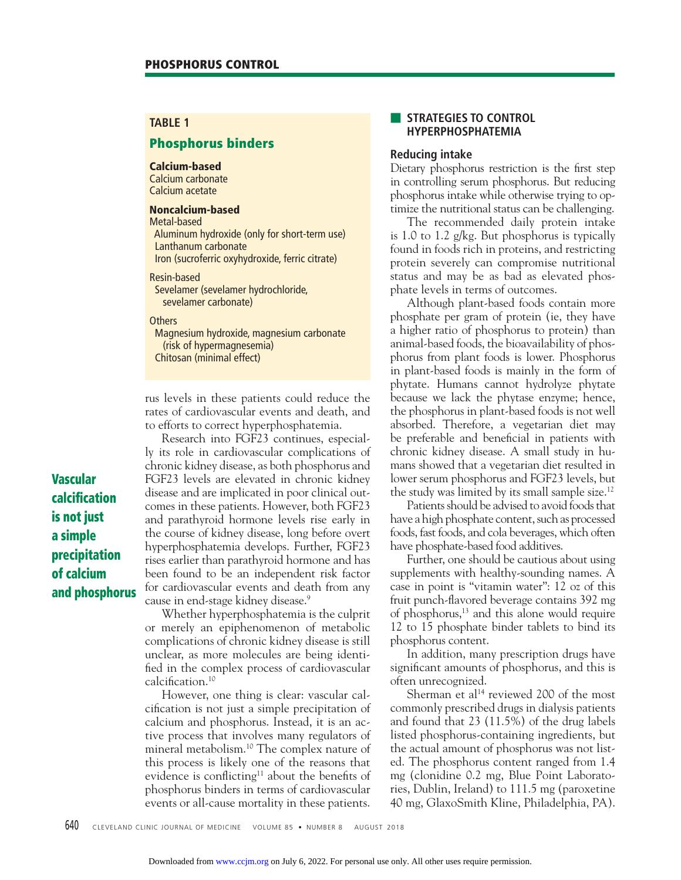## **TABLE 1**

# **Phosphorus binders**

#### **Calcium-based**

Calcium carbonate Calcium acetate

## **Noncalcium-based**

Metal-based Aluminum hydroxide (only for short-term use) Lanthanum carbonate Iron (sucroferric oxyhydroxide, ferric citrate)

Resin-based Sevelamer (sevelamer hydrochloride, sevelamer carbonate)

**Others** 

 Magnesium hydroxide, magnesium carbonate (risk of hypermagnesemia) Chitosan (minimal effect)

rus levels in these patients could reduce the rates of cardiovascular events and death, and to efforts to correct hyperphosphatemia.

 Research into FGF23 continues, especially its role in cardiovascular complications of chronic kidney disease, as both phosphorus and FGF23 levels are elevated in chronic kidney disease and are implicated in poor clinical outcomes in these patients. However, both FGF23 and parathyroid hormone levels rise early in the course of kidney disease, long before overt hyperphosphatemia develops. Further, FGF23 rises earlier than parathyroid hormone and has been found to be an independent risk factor for cardiovascular events and death from any cause in end-stage kidney disease.<sup>9</sup>

 Whether hyperphosphatemia is the culprit or merely an epiphenomenon of metabolic complications of chronic kidney disease is still unclear, as more molecules are being identified in the complex process of cardiovascular calcification.<sup>10</sup>

 However, one thing is clear: vascular calcification is not just a simple precipitation of calcium and phosphorus. Instead, it is an active process that involves many regulators of mineral metabolism.10 The complex nature of this process is likely one of the reasons that evidence is conflicting<sup>11</sup> about the benefits of phosphorus binders in terms of cardiovascular events or all-cause mortality in these patients.

## **STRATEGIES TO CONTROL HYPERPHOSPHATEMIA**

## **Reducing intake**

Dietary phosphorus restriction is the first step in controlling serum phosphorus. But reducing phosphorus intake while otherwise trying to optimize the nutritional status can be challenging.

 The recommended daily protein intake is 1.0 to 1.2 g/kg. But phosphorus is typically found in foods rich in proteins, and restricting protein severely can compromise nutritional status and may be as bad as elevated phosphate levels in terms of outcomes.

 Although plant-based foods contain more phosphate per gram of protein (ie, they have a higher ratio of phosphorus to protein) than animal-based foods, the bioavailability of phosphorus from plant foods is lower. Phosphorus in plant-based foods is mainly in the form of phytate. Humans cannot hydrolyze phytate because we lack the phytase enzyme; hence, the phosphorus in plant-based foods is not well absorbed. Therefore, a vegetarian diet may be preferable and beneficial in patients with chronic kidney disease. A small study in humans showed that a vegetarian diet resulted in lower serum phosphorus and FGF23 levels, but the study was limited by its small sample size.12

 Patients should be advised to avoid foods that have a high phosphate content, such as processed foods, fast foods, and cola beverages, which often have phosphate-based food additives.

 Further, one should be cautious about using supplements with healthy-sounding names. A case in point is "vitamin water": 12 oz of this fruit punch-flavored beverage contains 392 mg of phosphorus,13 and this alone would require 12 to 15 phosphate binder tablets to bind its phosphorus content.

 In addition, many prescription drugs have significant amounts of phosphorus, and this is often unrecognized.

Sherman et al<sup>14</sup> reviewed 200 of the most commonly prescribed drugs in dialysis patients and found that 23 (11.5%) of the drug labels listed phosphorus-containing ingredients, but the actual amount of phosphorus was not listed. The phosphorus content ranged from 1.4 mg (clonidine 0.2 mg, Blue Point Laboratories, Dublin, Ireland) to 111.5 mg (paroxetine 40 mg, GlaxoSmith Kline, Philadelphia, PA).

**Vascular calcifi cation is not just a simple precipitation of calcium and phosphorus**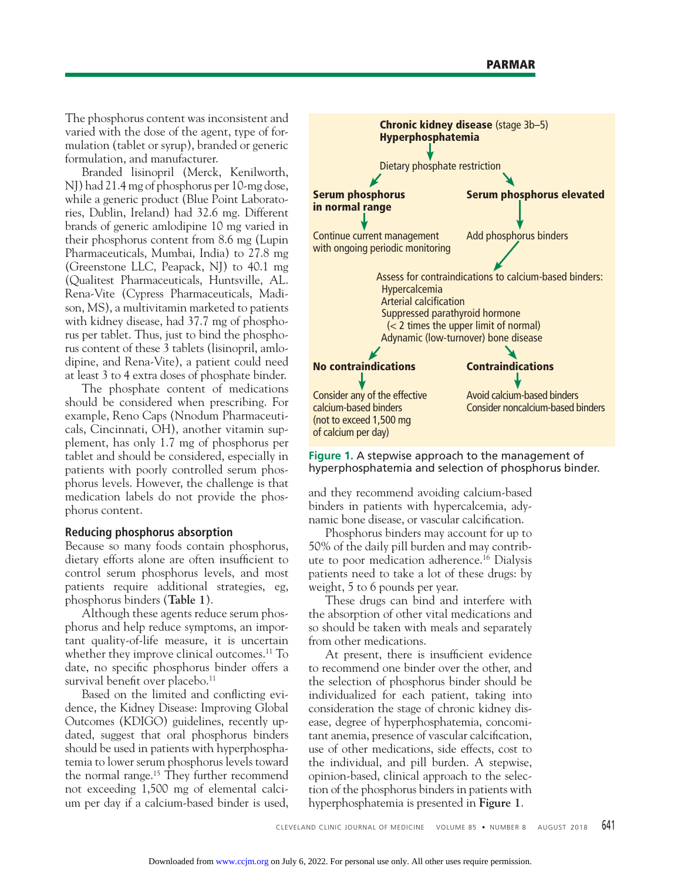The phosphorus content was inconsistent and varied with the dose of the agent, type of formulation (tablet or syrup), branded or generic formulation, and manufacturer.

 Branded lisinopril (Merck, Kenilworth, NJ) had 21.4 mg of phosphorus per 10-mg dose, while a generic product (Blue Point Laboratories, Dublin, Ireland) had 32.6 mg. Different brands of generic amlodipine 10 mg varied in their phosphorus content from 8.6 mg (Lupin Pharmaceuticals, Mumbai, India) to 27.8 mg (Greenstone LLC, Peapack, NJ) to 40.1 mg (Qualitest Pharmaceuticals, Huntsville, AL. Rena-Vite (Cypress Pharmaceuticals, Madison, MS), a multivitamin marketed to patients with kidney disease, had 37.7 mg of phosphorus per tablet. Thus, just to bind the phosphorus content of these 3 tablets (lisinopril, amlodipine, and Rena-Vite), a patient could need at least 3 to 4 extra doses of phosphate binder.

 The phosphate content of medications should be considered when prescribing. For example, Reno Caps (Nnodum Pharmaceuticals, Cincinnati, OH), another vitamin supplement, has only 1.7 mg of phosphorus per tablet and should be considered, especially in patients with poorly controlled serum phosphorus levels. However, the challenge is that medication labels do not provide the phosphorus content.

## **Reducing phosphorus absorption**

Because so many foods contain phosphorus, dietary efforts alone are often insufficient to control serum phosphorus levels, and most patients require additional strategies, eg, phosphorus binders (**Table 1**).

 Although these agents reduce serum phosphorus and help reduce symptoms, an important quality-of-life measure, it is uncertain whether they improve clinical outcomes.<sup>11</sup> To date, no specific phosphorus binder offers a survival benefit over placebo.<sup>11</sup>

Based on the limited and conflicting evidence, the Kidney Disease: Improving Global Outcomes (KDIGO) guidelines, recently updated, suggest that oral phosphorus binders should be used in patients with hyperphosphatemia to lower serum phosphorus levels toward the normal range.<sup>15</sup> They further recommend not exceeding 1,500 mg of elemental calcium per day if a calcium-based binder is used,



### **Figure 1.** A stepwise approach to the management of hyperphosphatemia and selection of phosphorus binder.

and they recommend avoiding calcium-based binders in patients with hypercalcemia, adynamic bone disease, or vascular calcification.

 Phosphorus binders may account for up to 50% of the daily pill burden and may contribute to poor medication adherence.<sup>16</sup> Dialysis patients need to take a lot of these drugs: by weight, 5 to 6 pounds per year.

 These drugs can bind and interfere with the absorption of other vital medications and so should be taken with meals and separately from other medications.

At present, there is insufficient evidence to recommend one binder over the other, and the selection of phosphorus binder should be individualized for each patient, taking into consideration the stage of chronic kidney disease, degree of hyperphosphatemia, concomitant anemia, presence of vascular calcification, use of other medications, side effects, cost to the individual, and pill burden. A stepwise, opinion-based, clinical approach to the selection of the phosphorus binders in patients with hyperphosphatemia is presented in **Figure 1**.